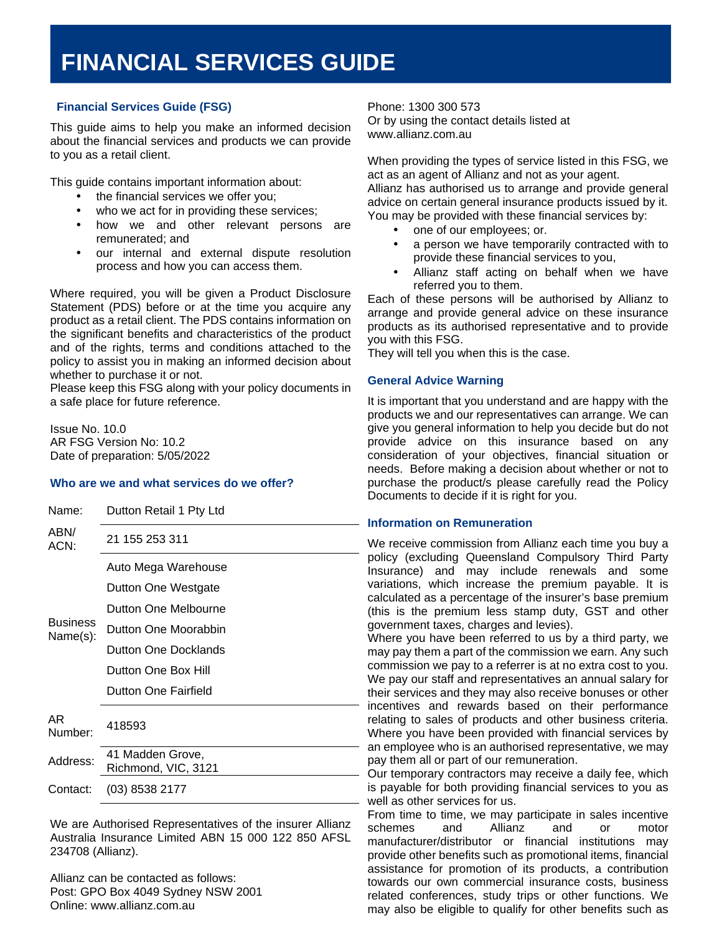## **FINANCIAL SERVICES GUIDE**

# **(FSG) Financial Services Guide (FSG)**

This guide aims to help you make an informed decision about the financial services and products we can provide to you as a retail client.

This guide contains important information about:

- the financial services we offer you;
- who we act for in providing these services;
- how we and other relevant persons are remunerated; and
- our internal and external dispute resolution process and how you can access them.

Where required, you will be given a Product Disclosure Statement (PDS) before or at the time you acquire any product as a retail client. The PDS contains information on the significant benefits and characteristics of the product and of the rights, terms and conditions attached to the policy to assist you in making an informed decision about whether to purchase it or not.

Please keep this FSG along with your policy documents in a safe place for future reference.

Issue No. 10.0 AR FSG Version No: 10.2 Date of preparation: 5/05/2022

#### **Who are we and what services do we offer?**

| Name:                       | Dutton Retail 1 Pty Ltd                 |
|-----------------------------|-----------------------------------------|
| ABN/<br>ACN:                | 21 155 253 311                          |
| <b>Business</b><br>Name(s): | Auto Mega Warehouse                     |
|                             | Dutton One Westgate                     |
|                             | Dutton One Melbourne                    |
|                             | Dutton One Moorabbin                    |
|                             | Dutton One Docklands                    |
|                             | Dutton One Box Hill                     |
|                             | <b>Dutton One Fairfield</b>             |
| AR<br>Number:               | 418593                                  |
| Address:                    | 41 Madden Grove,<br>Richmond, VIC, 3121 |
| Contact:                    | (03) 8538 2177                          |

We are Authorised Representatives of the insurer Allianz Australia Insurance Limited ABN 15 000 122 850 AFSL 234708 (Allianz).

Allianz can be contacted as follows: Post: GPO Box 4049 Sydney NSW 2001 Online: www.allianz.com.au

Phone: 1300 300 573 Or by using the contact details listed at www.allianz.com.au

When providing the types of service listed in this FSG, we act as an agent of Allianz and not as your agent. Allianz has authorised us to arrange and provide general

advice on certain general insurance products issued by it. You may be provided with these financial services by:

- one of our employees; or.
- a person we have temporarily contracted with to provide these financial services to you,
- Allianz staff acting on behalf when we have referred you to them.

Each of these persons will be authorised by Allianz to arrange and provide general advice on these insurance products as its authorised representative and to provide you with this FSG.

They will tell you when this is the case.

### **General Advice Warning**

It is important that you understand and are happy with the products we and our representatives can arrange. We can give you general information to help you decide but do not provide advice on this insurance based on any consideration of your objectives, financial situation or needs. Before making a decision about whether or not to purchase the product/s please carefully read the Policy Documents to decide if it is right for you.

#### **Information on Remuneration**

We receive commission from Allianz each time you buy a policy (excluding Queensland Compulsory Third Party Insurance) and may include renewals and some variations, which increase the premium payable. It is calculated as a percentage of the insurer's base premium (this is the premium less stamp duty, GST and other government taxes, charges and levies).

Where you have been referred to us by a third party, we may pay them a part of the commission we earn. Any such commission we pay to a referrer is at no extra cost to you. We pay our staff and representatives an annual salary for their services and they may also receive bonuses or other incentives and rewards based on their performance relating to sales of products and other business criteria. Where you have been provided with financial services by an employee who is an authorised representative, we may pay them all or part of our remuneration.

Our temporary contractors may receive a daily fee, which is payable for both providing financial services to you as well as other services for us.

From time to time, we may participate in sales incentive schemes and Allianz and or motor manufacturer/distributor or financial institutions may provide other benefits such as promotional items, financial assistance for promotion of its products, a contribution towards our own commercial insurance costs, business related conferences, study trips or other functions. We may also be eligible to qualify for other benefits such as